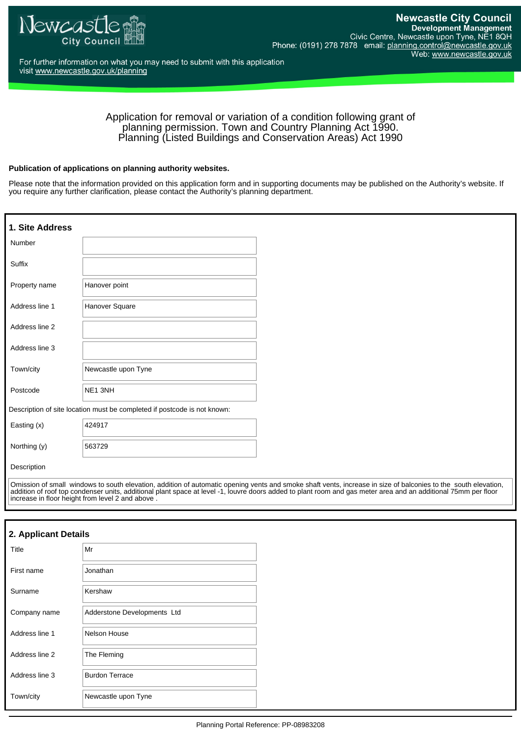

For further information on what you may need to submit with this application visit www.newcastle.gov.uk/planning

### Application for removal or variation of a condition following grant of planning permission. Town and Country Planning Act 1990. Planning (Listed Buildings and Conservation Areas) Act 1990

#### **Publication of applications on planning authority websites.**

Please note that the information provided on this application form and in supporting documents may be published on the Authority's website. If you require any further clarification, please contact the Authority's planning department.

| 1. Site Address                                                          |                     |
|--------------------------------------------------------------------------|---------------------|
| Number                                                                   |                     |
| Suffix                                                                   |                     |
| Property name                                                            | Hanover point       |
| Address line 1                                                           | Hanover Square      |
| Address line 2                                                           |                     |
| Address line 3                                                           |                     |
| Town/city                                                                | Newcastle upon Tyne |
| Postcode                                                                 | NE1 3NH             |
| Description of site location must be completed if postcode is not known: |                     |
| Easting (x)                                                              | 424917              |
| Northing (y)                                                             | 563729              |
| Description                                                              |                     |

Omission of small windows to south elevation, addition of automatic opening vents and smoke shaft vents, increase in size of balconies to the south elevation, addition of roof top condenser units, additional plant space at level -1, louvre doors added to plant room and gas meter area and an additional 75mm per floor increase in floor height from level 2 and above .

## **2. Applicant Details**

| Title          | Mr                          |
|----------------|-----------------------------|
| First name     | Jonathan                    |
| Surname        | Kershaw                     |
| Company name   | Adderstone Developments Ltd |
| Address line 1 | Nelson House                |
| Address line 2 | The Fleming                 |
| Address line 3 | <b>Burdon Terrace</b>       |
| Town/city      | Newcastle upon Tyne         |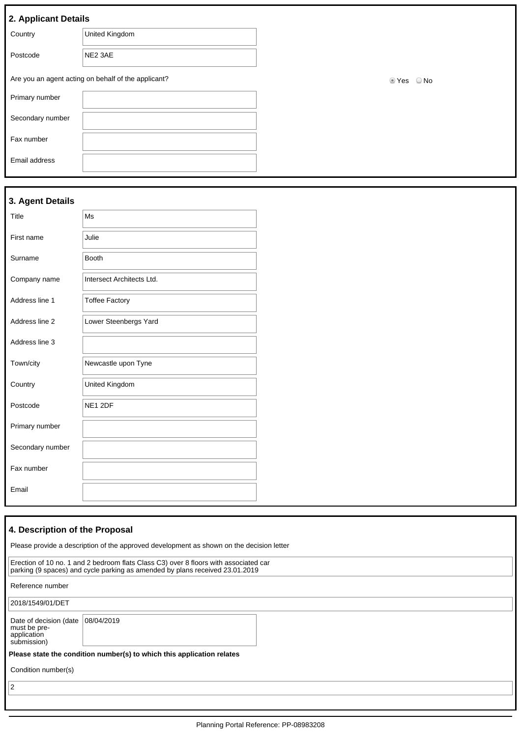| 2. Applicant Details |  |
|----------------------|--|
|                      |  |

| . .              |                                                     |                               |
|------------------|-----------------------------------------------------|-------------------------------|
| Country          | United Kingdom                                      |                               |
| Postcode         | NE2 3AE                                             |                               |
|                  | Are you an agent acting on behalf of the applicant? | <b>©</b> Yes<br>$\bigcirc$ No |
| Primary number   |                                                     |                               |
| Secondary number |                                                     |                               |
| Fax number       |                                                     |                               |
| Email address    |                                                     |                               |
|                  |                                                     |                               |

# **3. Agent Details**

| Title            | Ms                        |
|------------------|---------------------------|
| First name       | Julie                     |
| Surname          | <b>Booth</b>              |
| Company name     | Intersect Architects Ltd. |
| Address line 1   | <b>Toffee Factory</b>     |
| Address line 2   | Lower Steenbergs Yard     |
| Address line 3   |                           |
| Town/city        | Newcastle upon Tyne       |
| Country          | United Kingdom            |
| Postcode         | NE1 2DF                   |
| Primary number   |                           |
| Secondary number |                           |
| Fax number       |                           |
| Email            |                           |

# **4. Description of the Proposal**

| Please provide a description of the approved development as shown on the decision letter |                                                                                                                                                                      |
|------------------------------------------------------------------------------------------|----------------------------------------------------------------------------------------------------------------------------------------------------------------------|
|                                                                                          | Erection of 10 no. 1 and 2 bedroom flats Class C3) over 8 floors with associated car<br>parking (9 spaces) and cycle parking as amended by plans received 23.01.2019 |
| Reference number                                                                         |                                                                                                                                                                      |
| 2018/1549/01/DET                                                                         |                                                                                                                                                                      |
| Date of decision (date<br>must be pre-<br>application<br>submission)                     | 08/04/2019                                                                                                                                                           |
|                                                                                          | Please state the condition number(s) to which this application relates                                                                                               |
| Condition number(s)                                                                      |                                                                                                                                                                      |
| 2                                                                                        |                                                                                                                                                                      |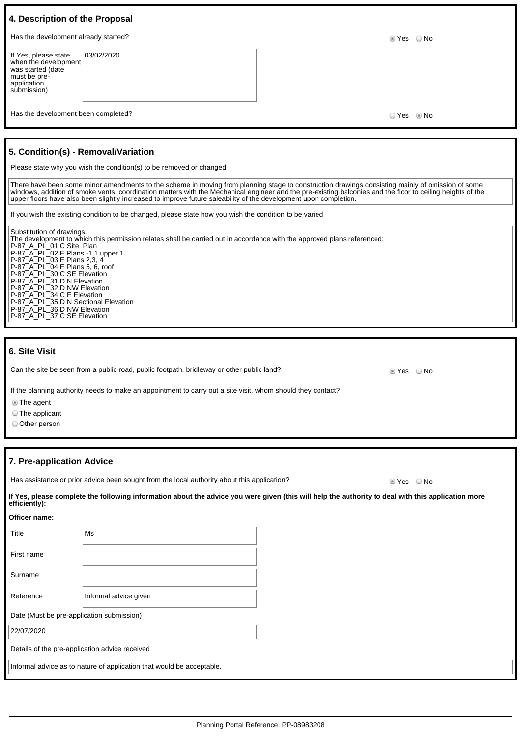| 4. Description of the Proposal                                                                                                                                                               |                                                                                                                                                                                                                                                                                |            |      |
|----------------------------------------------------------------------------------------------------------------------------------------------------------------------------------------------|--------------------------------------------------------------------------------------------------------------------------------------------------------------------------------------------------------------------------------------------------------------------------------|------------|------|
| Has the development already started?                                                                                                                                                         |                                                                                                                                                                                                                                                                                | ◉ Yes      | ⊙ No |
| If Yes, please state<br>when the development<br>was started (date<br>must be pre-<br>application<br>submission)                                                                              | 03/02/2020                                                                                                                                                                                                                                                                     |            |      |
| Has the development been completed?                                                                                                                                                          |                                                                                                                                                                                                                                                                                | ○ Yes ◎ No |      |
| 5. Condition(s) - Removal/Variation                                                                                                                                                          | Please state why you wish the condition(s) to be removed or changed<br>There have been some minor amendments to the scheme in moving from planning stage to construction drawings consisting mainly of omission of some                                                        |            |      |
|                                                                                                                                                                                              | windows, addition of smoke vents, coordination matters with the Mechanical engineer and the pre-existing balconies and the floor to ceiling heights of the<br>upper floors have also been slightly increased to improve future saleability of the development upon completion. |            |      |
|                                                                                                                                                                                              | If you wish the existing condition to be changed, please state how you wish the condition to be varied                                                                                                                                                                         |            |      |
| Substitution of drawings.<br>P-87 A PL 01 C Site Plan<br>P-87_A_PL_02 E Plans -1,1, upper 1<br>P-87_A_PL_03 E Plans 2,3, 4<br>P-87 A PL 04 E Plans 5, 6, roof<br>P-87 A PL 30 C SE Elevation | The development to which this permission relates shall be carried out in accordance with the approved plans referenced:                                                                                                                                                        |            |      |

|  | <b>6. Site Visit</b> |
|--|----------------------|

Can the site be seen from a public road, public footpath, bridleway or other public land? Section 1995 ONO

If the planning authority needs to make an appointment to carry out a site visit, whom should they contact?

The agent

The applicant

Other person

**Officer name:**

### **7. Pre-application Advice**

P-87\_A\_PL\_31 D N Elevation P-87\_A\_PL\_32 D NW Elevation P-87\_A\_PL\_34 C E Elevation

P-87\_A\_PL\_35 D N Sectional Elevation P-87\_A\_PL\_36 D NW Elevation P-87\_A\_PL\_37 C SE Elevation

Has assistance or prior advice been sought from the local authority about this application? <br>
O Yes 
O No

**If Yes, please complete the following information about the advice you were given (this will help the authority to deal with this application more efficiently):**

| Title                                          | Ms                                                                    |  |
|------------------------------------------------|-----------------------------------------------------------------------|--|
| First name                                     |                                                                       |  |
| Surname                                        |                                                                       |  |
| Reference                                      | Informal advice given                                                 |  |
| Date (Must be pre-application submission)      |                                                                       |  |
| 22/07/2020                                     |                                                                       |  |
| Details of the pre-application advice received |                                                                       |  |
|                                                | Informal advice as to nature of application that would be acceptable. |  |